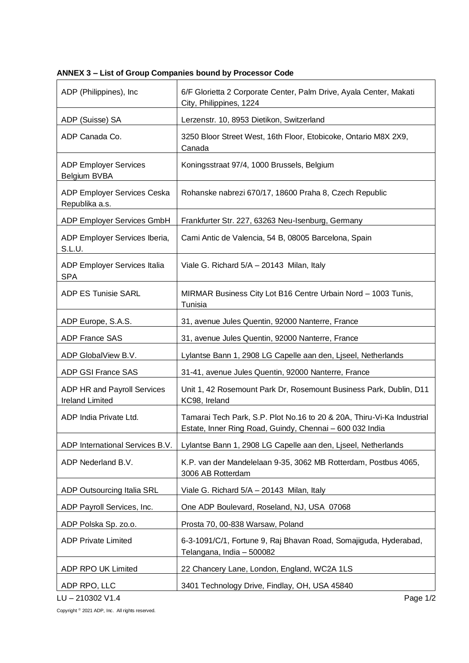| ADP (Philippines), Inc.                               | 6/F Glorietta 2 Corporate Center, Palm Drive, Ayala Center, Makati<br>City, Philippines, 1224                                      |
|-------------------------------------------------------|------------------------------------------------------------------------------------------------------------------------------------|
| ADP (Suisse) SA                                       | Lerzenstr. 10, 8953 Dietikon, Switzerland                                                                                          |
| ADP Canada Co.                                        | 3250 Bloor Street West, 16th Floor, Etobicoke, Ontario M8X 2X9,<br>Canada                                                          |
| <b>ADP Employer Services</b><br>Belgium BVBA          | Koningsstraat 97/4, 1000 Brussels, Belgium                                                                                         |
| ADP Employer Services Ceska<br>Republika a.s.         | Rohanske nabrezi 670/17, 18600 Praha 8, Czech Republic                                                                             |
| ADP Employer Services GmbH                            | Frankfurter Str. 227, 63263 Neu-Isenburg, Germany                                                                                  |
| ADP Employer Services Iberia,<br>S.L.U.               | Cami Antic de Valencia, 54 B, 08005 Barcelona, Spain                                                                               |
| <b>ADP Employer Services Italia</b><br><b>SPA</b>     | Viale G. Richard 5/A - 20143 Milan, Italy                                                                                          |
| <b>ADP ES Tunisie SARL</b>                            | MIRMAR Business City Lot B16 Centre Urbain Nord - 1003 Tunis,<br>Tunisia                                                           |
| ADP Europe, S.A.S.                                    | 31, avenue Jules Quentin, 92000 Nanterre, France                                                                                   |
| <b>ADP France SAS</b>                                 | 31, avenue Jules Quentin, 92000 Nanterre, France                                                                                   |
| ADP GlobalView B.V.                                   | Lylantse Bann 1, 2908 LG Capelle aan den, Liseel, Netherlands                                                                      |
| ADP GSI France SAS                                    | 31-41, avenue Jules Quentin, 92000 Nanterre, France                                                                                |
| ADP HR and Payroll Services<br><b>Ireland Limited</b> | Unit 1, 42 Rosemount Park Dr, Rosemount Business Park, Dublin, D11<br>KC98, Ireland                                                |
| ADP India Private Ltd.                                | Tamarai Tech Park, S.P. Plot No.16 to 20 & 20A, Thiru-Vi-Ka Industrial<br>Estate, Inner Ring Road, Guindy, Chennai - 600 032 India |
| ADP International Services B.V.                       | Lylantse Bann 1, 2908 LG Capelle aan den, Liseel, Netherlands                                                                      |
| ADP Nederland B.V.                                    | K.P. van der Mandelelaan 9-35, 3062 MB Rotterdam, Postbus 4065,<br>3006 AB Rotterdam                                               |
| ADP Outsourcing Italia SRL                            | Viale G. Richard 5/A - 20143 Milan, Italy                                                                                          |
| ADP Payroll Services, Inc.                            | One ADP Boulevard, Roseland, NJ, USA 07068                                                                                         |
| ADP Polska Sp. zo.o.                                  | Prosta 70, 00-838 Warsaw, Poland                                                                                                   |
| <b>ADP Private Limited</b>                            | 6-3-1091/C/1, Fortune 9, Raj Bhavan Road, Somajiguda, Hyderabad,<br>Telangana, India - 500082                                      |
| ADP RPO UK Limited                                    | 22 Chancery Lane, London, England, WC2A 1LS                                                                                        |
| ADP RPO, LLC<br>LU-210302 V1.4                        | 3401 Technology Drive, Findlay, OH, USA 45840<br>Page 1/2                                                                          |

**ANNEX 3 – List of Group Companies bound by Processor Code**

Copyright © 2021 ADP, Inc. All rights reserved.